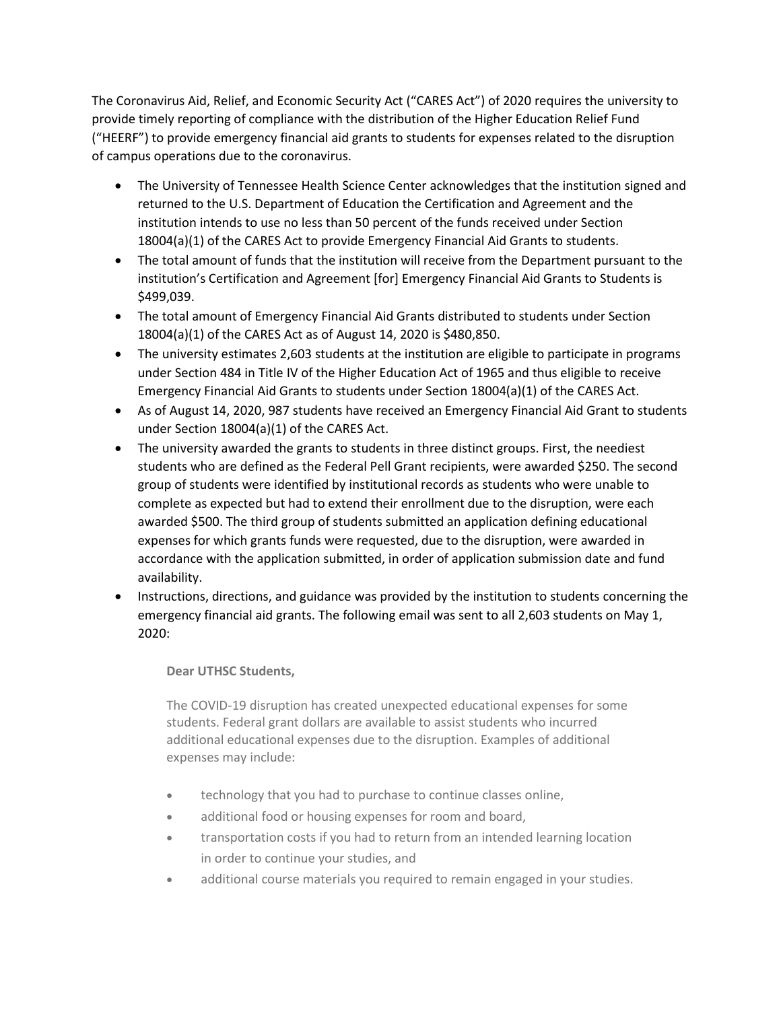The Coronavirus Aid, Relief, and Economic Security Act ("CARES Act") of 2020 requires the university to provide timely reporting of compliance with the distribution of the Higher Education Relief Fund ("HEERF") to provide emergency financial aid grants to students for expenses related to the disruption of campus operations due to the coronavirus.

- The University of Tennessee Health Science Center acknowledges that the institution signed and returned to the U.S. Department of Education the Certification and Agreement and the institution intends to use no less than 50 percent of the funds received under Section 18004(a)(1) of the CARES Act to provide Emergency Financial Aid Grants to students.
- The total amount of funds that the institution will receive from the Department pursuant to the institution's Certification and Agreement [for] Emergency Financial Aid Grants to Students is \$499,039.
- The total amount of Emergency Financial Aid Grants distributed to students under Section 18004(a)(1) of the CARES Act as of August 14, 2020 is \$480,850.
- The university estimates 2,603 students at the institution are eligible to participate in programs under Section 484 in Title IV of the Higher Education Act of 1965 and thus eligible to receive Emergency Financial Aid Grants to students under Section 18004(a)(1) of the CARES Act.
- As of August 14, 2020, 987 students have received an Emergency Financial Aid Grant to students under Section 18004(a)(1) of the CARES Act.
- The university awarded the grants to students in three distinct groups. First, the neediest students who are defined as the Federal Pell Grant recipients, were awarded \$250. The second group of students were identified by institutional records as students who were unable to complete as expected but had to extend their enrollment due to the disruption, were each awarded \$500. The third group of students submitted an application defining educational expenses for which grants funds were requested, due to the disruption, were awarded in accordance with the application submitted, in order of application submission date and fund availability.
- Instructions, directions, and guidance was provided by the institution to students concerning the emergency financial aid grants. The following email was sent to all 2,603 students on May 1, 2020:

# **Dear UTHSC Students,**

The COVID-19 disruption has created unexpected educational expenses for some students. Federal grant dollars are available to assist students who incurred additional educational expenses due to the disruption. Examples of additional expenses may include:

- technology that you had to purchase to continue classes online,
- additional food or housing expenses for room and board,
- transportation costs if you had to return from an intended learning location in order to continue your studies, and
- additional course materials you required to remain engaged in your studies.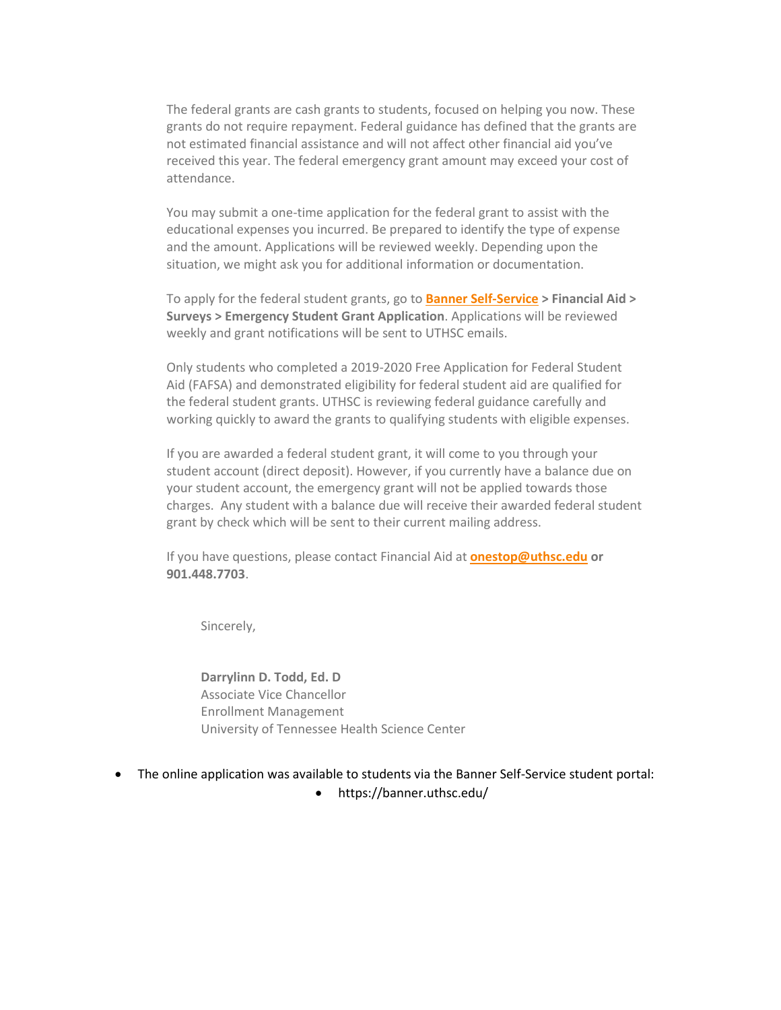The federal grants are cash grants to students, focused on helping you now. These grants do not require repayment. Federal guidance has defined that the grants are not estimated financial assistance and will not affect other financial aid you've received this year. The federal emergency grant amount may exceed your cost of attendance.

You may submit a one-time application for the federal grant to assist with the educational expenses you incurred. Be prepared to identify the type of expense and the amount. Applications will be reviewed weekly. Depending upon the situation, we might ask you for additional information or documentation.

To apply for the federal student grants, go to **Banner Self-Service > Financial Aid > Surveys > Emergency Student Grant Application**. Applications will be reviewed weekly and grant notifications will be sent to UTHSC emails.

Only students who completed a 2019-2020 Free Application for Federal Student Aid (FAFSA) and demonstrated eligibility for federal student aid are qualified for the federal student grants. UTHSC is reviewing federal guidance carefully and working quickly to award the grants to qualifying students with eligible expenses.

If you are awarded a federal student grant, it will come to you through your student account (direct deposit). However, if you currently have a balance due on your student account, the emergency grant will not be applied towards those charges. Any student with a balance due will receive their awarded federal student grant by check which will be sent to their current mailing address.

If you have questions, please contact Financial Aid at **[onestop@uthsc.edu](mailto:onestop@uthsc.edu) or 901.448.7703**.

Sincerely,

**Darrylinn D. Todd, Ed. D** Associate Vice Chancellor Enrollment Management University of Tennessee Health Science Center

- The online application was available to students via the Banner Self-Service student portal:
	- https://banner.uthsc.edu/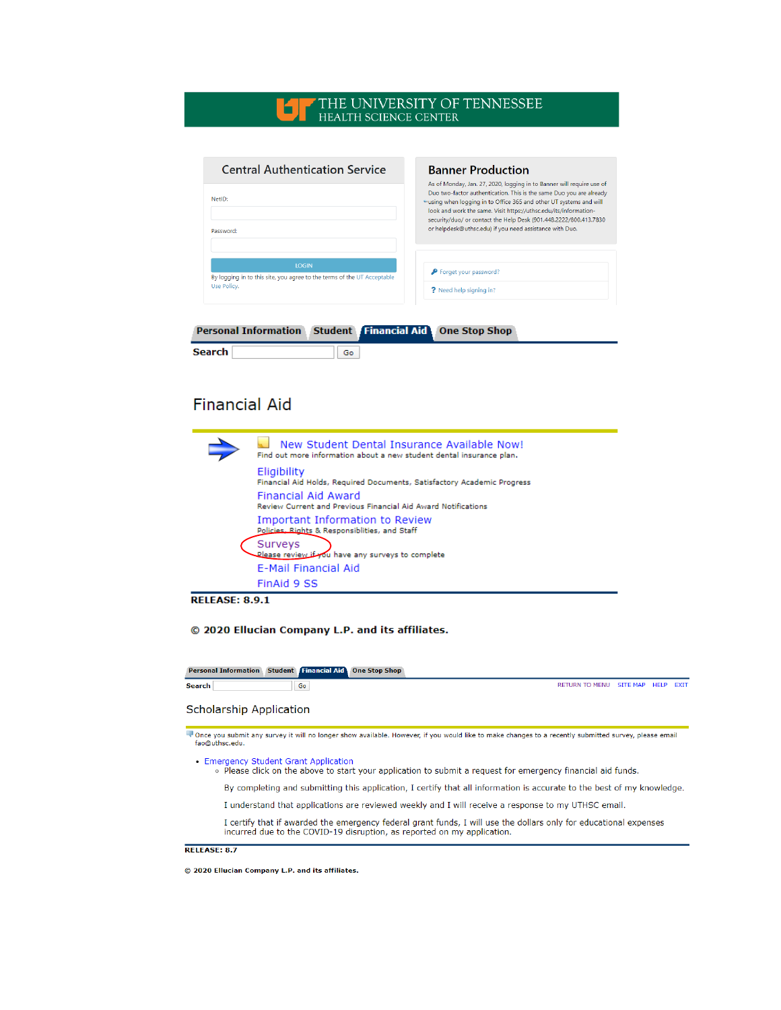## THE UNIVERSITY OF TENNESSEE HEALTH SCIENCE CENTER

| <b>Banner Production</b>                                                                                                                                                                                                                                                               |  |
|----------------------------------------------------------------------------------------------------------------------------------------------------------------------------------------------------------------------------------------------------------------------------------------|--|
| As of Monday, Jan. 27, 2020, logging in to Banner will require use of<br>Duo two-factor authentication. This is the same Duo you are already<br>"using when logging in to Office 365 and other UT systems and will<br>look and work the same. Visit https://uthsc.edu/its/information- |  |
| security/duo/ or contact the Help Desk (901.448.2222/800.413.7830<br>or helpdesk@uthsc.edu) if you need assistance with Duo.                                                                                                                                                           |  |
|                                                                                                                                                                                                                                                                                        |  |
| P Forget your password?<br>? Need help signing in?                                                                                                                                                                                                                                     |  |
|                                                                                                                                                                                                                                                                                        |  |

| <b>Personal Information Student Financial Aid One Stop Shop</b> |  |  |  |
|-----------------------------------------------------------------|--|--|--|
|-----------------------------------------------------------------|--|--|--|

| Search |  |
|--------|--|
|        |  |

# **Financial Aid**

| New Student Dental Insurance Available Now!<br>Find out more information about a new student dental insurance plan. |
|---------------------------------------------------------------------------------------------------------------------|
| Eligibility<br>Financial Aid Holds, Required Documents, Satisfactory Academic Progress                              |
| Financial Aid Award<br><b>Review Current and Previous Financial Aid Award Notifications</b>                         |
| Important Information to Review<br>Policies, Rights & Responsiblities, and Staff                                    |
| Surveys<br>Olease review to omplete                                                                                 |
| E-Mail Financial Aid                                                                                                |
| FinAid 9 SS                                                                                                         |

**RELEASE: 8.9.1** 

© 2020 Ellucian Company L.P. and its affiliates.

Personal Information Student Financial Aid One Stop Shop

Search

 $\boxed{60}$ 

RETURN TO MENU SITE MAP HELP EXIT

## **Scholarship Application**

Tonce you submit any survey it will no longer show available. However, if you would like to make changes to a recently submitted survey, please email<br>fao@uthsc.edu.

• Emergency Student Grant Application

. Please click on the above to start your application to submit a request for emergency financial aid funds.

By completing and submitting this application, I certify that all information is accurate to the best of my knowledge.

I understand that applications are reviewed weekly and I will receive a response to my UTHSC email.

I certify that if awarded the emergency federal grant funds, I will use the dollars only for educational expenses incurred due to the COVID-19 disruption, as reported on my application.

#### RELEASE: 8.7

© 2020 Ellucian Company L.P. and its affiliates.